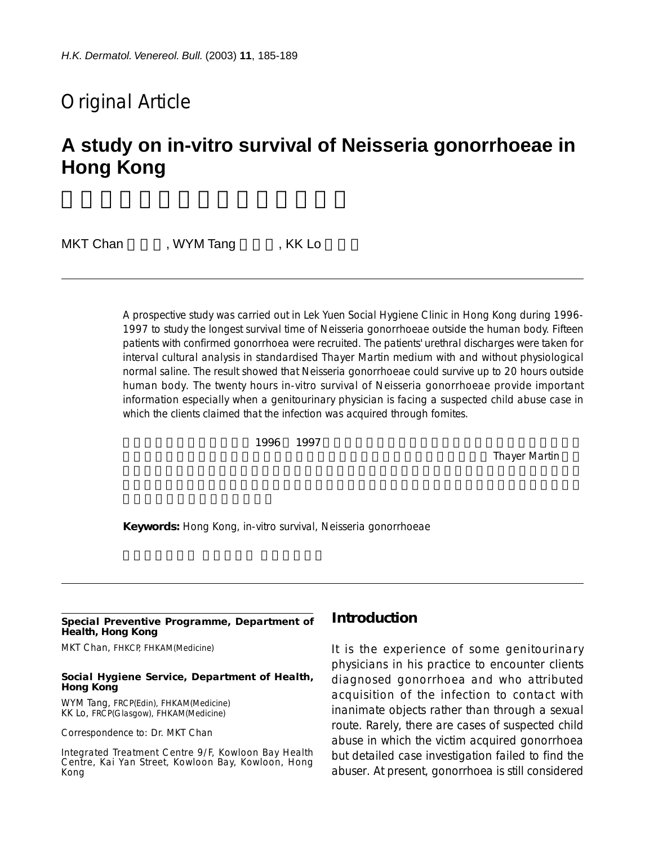## Original Article

# **A study on in-vitro survival of Neisseria gonorrhoeae in Hong Kong**

MKT Chan WYM Tang , KK Lo

A prospective study was carried out in Lek Yuen Social Hygiene Clinic in Hong Kong during 1996- 1997 to study the longest survival time of Neisseria gonorrhoeae outside the human body. Fifteen patients with confirmed gonorrhoea were recruited. The patients' urethral discharges were taken for interval cultural analysis in standardised Thayer Martin medium with and without physiological normal saline. The result showed that Neisseria gonorrhoeae could survive up to 20 hours outside human body. The twenty hours in-vitro survival of Neisseria gonorrhoeae provide important information especially when a genitourinary physician is facing a suspected child abuse case in which the clients claimed that the infection was acquired through fomites.

 $1996$  1997  $1997$ 

Thayer Martin

**Keywords:** Hong Kong, in-vitro survival, Neisseria gonorrhoeae

#### **Special Preventive Programme, Department of Health, Hong Kong**

MKT Chan, FHKCP, FHKAM(Medicine)

#### **Social Hygiene Service, Department of Health, Hong Kong**

WYM Tang, FRCP(Edin), FHKAM(Medicine) KK Lo, FRCP(Glasgow), FHKAM(Medicine)

Correspondence to: Dr. MKT Chan

Integrated Treatment Centre 9/F, Kowloon Bay Health Centre, Kai Yan Street, Kowloon Bay, Kowloon, Hong Kong

### **Introduction**

It is the experience of some genitourinary physicians in his practice to encounter clients diagnosed gonorrhoea and who attributed acquisition of the infection to contact with inanimate objects rather than through a sexual route. Rarely, there are cases of suspected child abuse in which the victim acquired gonorrhoea but detailed case investigation failed to find the abuser. At present, gonorrhoea is still considered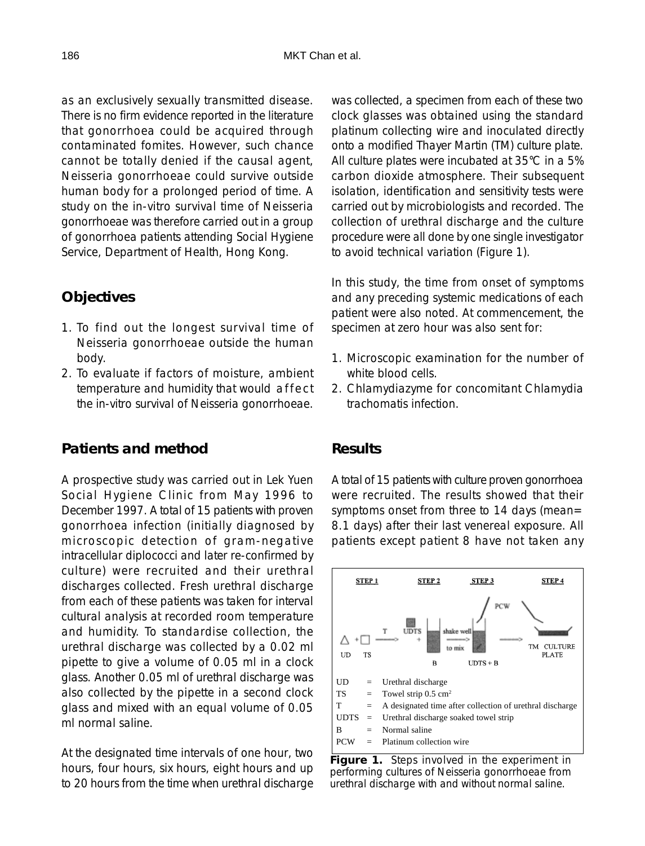as an exclusively sexually transmitted disease. There is no firm evidence reported in the literature that gonorrhoea could be acquired through contaminated fomites. However, such chance cannot be totally denied if the causal agent, Neisseria gonorrhoeae could survive outside human body for a prolonged period of time. A study on the in-vitro survival time of Neisseria gonorrhoeae was therefore carried out in a group of gonorrhoea patients attending Social Hygiene Service, Department of Health, Hong Kong.

## **Objectives**

- 1. To find out the longest survival time of Neisseria gonorrhoeae outside the human body.
- 2. To evaluate if factors of moisture, ambient temperature and humidity that would affect the in-vitro survival of Neisseria gonorrhoeae.

### **Patients and method**

A prospective study was carried out in Lek Yuen Social Hygiene Clinic from May 1996 to December 1997. A total of 15 patients with proven gonorrhoea infection (initially diagnosed by microscopic detection of gram-negative intracellular diplococci and later re-confirmed by culture) were recruited and their urethral discharges collected. Fresh urethral discharge from each of these patients was taken for interval cultural analysis at recorded room temperature and humidity. To standardise collection, the urethral discharge was collected by a 0.02 ml pipette to give a volume of 0.05 ml in a clock glass. Another 0.05 ml of urethral discharge was also collected by the pipette in a second clock glass and mixed with an equal volume of 0.05 ml normal saline.

At the designated time intervals of one hour, two hours, four hours, six hours, eight hours and up to 20 hours from the time when urethral discharge

was collected, a specimen from each of these two clock glasses was obtained using the standard platinum collecting wire and inoculated directly onto a modified Thayer Martin (TM) culture plate. All culture plates were incubated at 35°C in a 5% carbon dioxide atmosphere. Their subsequent isolation, identification and sensitivity tests were carried out by microbiologists and recorded. The collection of urethral discharge and the culture procedure were all done by one single investigator to avoid technical variation (Figure 1).

In this study, the time from onset of symptoms and any preceding systemic medications of each patient were also noted. At commencement, the specimen at zero hour was also sent for:

- 1. Microscopic examination for the number of white blood cells.
- 2. Chlamydiazyme for concomitant Chlamydia trachomatis infection.

### **Results**

A total of 15 patients with culture proven gonorrhoea were recruited. The results showed that their symptoms onset from three to 14 days (mean= 8.1 days) after their last venereal exposure. All patients except patient 8 have not taken any



**Figure 1.** Steps involved in the experiment in performing cultures of Neisseria gonorrhoeae from urethral discharge with and without normal saline.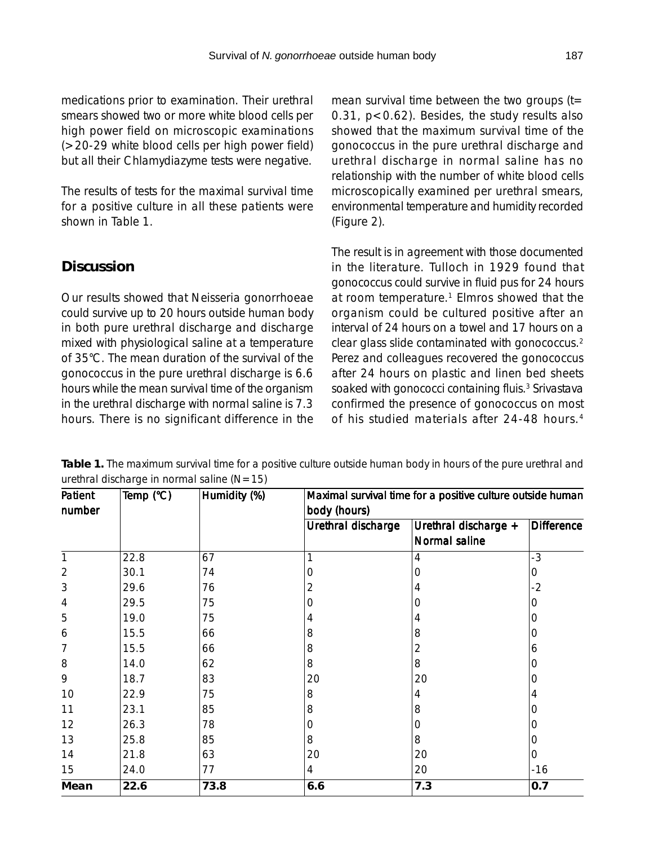medications prior to examination. Their urethral smears showed two or more white blood cells per high power field on microscopic examinations (>20-29 white blood cells per high power field) but all their Chlamydiazyme tests were negative.

The results of tests for the maximal survival time for a positive culture in all these patients were shown in Table 1.

## **Discussion**

Our results showed that Neisseria gonorrhoeae could survive up to 20 hours outside human body in both pure urethral discharge and discharge mixed with physiological saline at a temperature of 35°C. The mean duration of the survival of the gonococcus in the pure urethral discharge is 6.6 hours while the mean survival time of the organism in the urethral discharge with normal saline is 7.3 hours. There is no significant difference in the mean survival time between the two groups  $(t=$ 0.31, p<0.62). Besides, the study results also showed that the maximum survival time of the gonococcus in the pure urethral discharge and urethral discharge in normal saline has no relationship with the number of white blood cells microscopically examined per urethral smears, environmental temperature and humidity recorded (Figure 2).

The result is in agreement with those documented in the literature. Tulloch in 1929 found that gonococcus could survive in fluid pus for 24 hours at room temperature.<sup>1</sup> Elmros showed that the organism could be cultured positive after an interval of 24 hours on a towel and 17 hours on a clear glass slide contaminated with gonococcus.2 Perez and colleagues recovered the gonococcus after 24 hours on plastic and linen bed sheets soaked with gonococci containing fluis.<sup>3</sup> Srivastava confirmed the presence of gonococcus on most of his studied materials after 24-48 hours.4

| Patient        | Temp (°C) | Humidity (%) | Maximal survival time for a positive culture outside human<br>body (hours) |                      |                   |
|----------------|-----------|--------------|----------------------------------------------------------------------------|----------------------|-------------------|
| number         |           |              |                                                                            |                      |                   |
|                |           |              | Urethral discharge                                                         | Urethral discharge + | <b>Difference</b> |
|                |           |              |                                                                            | Normal saline        |                   |
| $\mathbf{1}$   | 22.8      | 67           | 1                                                                          | 4                    | $-3$              |
| $\overline{2}$ | 30.1      | 74           | 0                                                                          | 0                    | 0                 |
| 3              | 29.6      | 76           | 2                                                                          | 4                    | $-2$              |
| 4              | 29.5      | 75           | 0                                                                          | O                    | O)                |
| 5              | 19.0      | 75           | 4                                                                          | 4                    | O                 |
| 6              | 15.5      | 66           | 8                                                                          | 8                    | 0                 |
| 7              | 15.5      | 66           | 8                                                                          | 2                    | 6                 |
| 8              | 14.0      | 62           | 8                                                                          | 8                    | O                 |
| 9              | 18.7      | 83           | 20                                                                         | 20                   | Ο                 |
| 10             | 22.9      | 75           | 8                                                                          | 4                    | 4                 |
| 11             | 23.1      | 85           | 8                                                                          | 8                    | O                 |
| 12             | 26.3      | 78           | 0                                                                          | 0                    | 0                 |
| 13             | 25.8      | 85           | 8                                                                          | 8                    | O                 |
| 14             | 21.8      | 63           | 20                                                                         | 20                   | 0                 |
| 15             | 24.0      | 77           | 4                                                                          | 20                   | $-16$             |
| Mean           | 22.6      | 73.8         | 6.6                                                                        | 7.3                  | 0.7               |

**Table 1.** The maximum survival time for a positive culture outside human body in hours of the pure urethral and urethral discharge in normal saline  $(N=15)$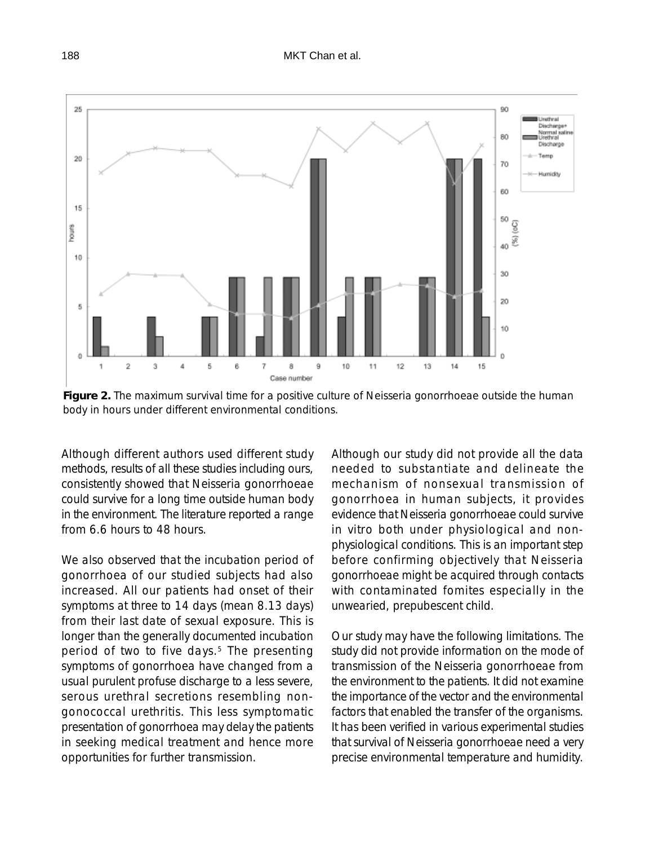

**Figure 2.** The maximum survival time for a positive culture of Neisseria gonorrhoeae outside the human body in hours under different environmental conditions.

Although different authors used different study methods, results of all these studies including ours, consistently showed that Neisseria gonorrhoeae could survive for a long time outside human body in the environment. The literature reported a range from 6.6 hours to 48 hours.

We also observed that the incubation period of gonorrhoea of our studied subjects had also increased. All our patients had onset of their symptoms at three to 14 days (mean 8.13 days) from their last date of sexual exposure. This is longer than the generally documented incubation period of two to five days.<sup>5</sup> The presenting symptoms of gonorrhoea have changed from a usual purulent profuse discharge to a less severe, serous urethral secretions resembling nongonococcal urethritis. This less symptomatic presentation of gonorrhoea may delay the patients in seeking medical treatment and hence more opportunities for further transmission.

Although our study did not provide all the data needed to substantiate and delineate the mechanism of nonsexual transmission of gonorrhoea in human subjects, it provides evidence that Neisseria gonorrhoeae could survive in vitro both under physiological and nonphysiological conditions. This is an important step before confirming objectively that Neisseria gonorrhoeae might be acquired through contacts with contaminated fomites especially in the unwearied, prepubescent child.

Our study may have the following limitations. The study did not provide information on the mode of transmission of the Neisseria gonorrhoeae from the environment to the patients. It did not examine the importance of the vector and the environmental factors that enabled the transfer of the organisms. It has been verified in various experimental studies that survival of Neisseria gonorrhoeae need a very precise environmental temperature and humidity.